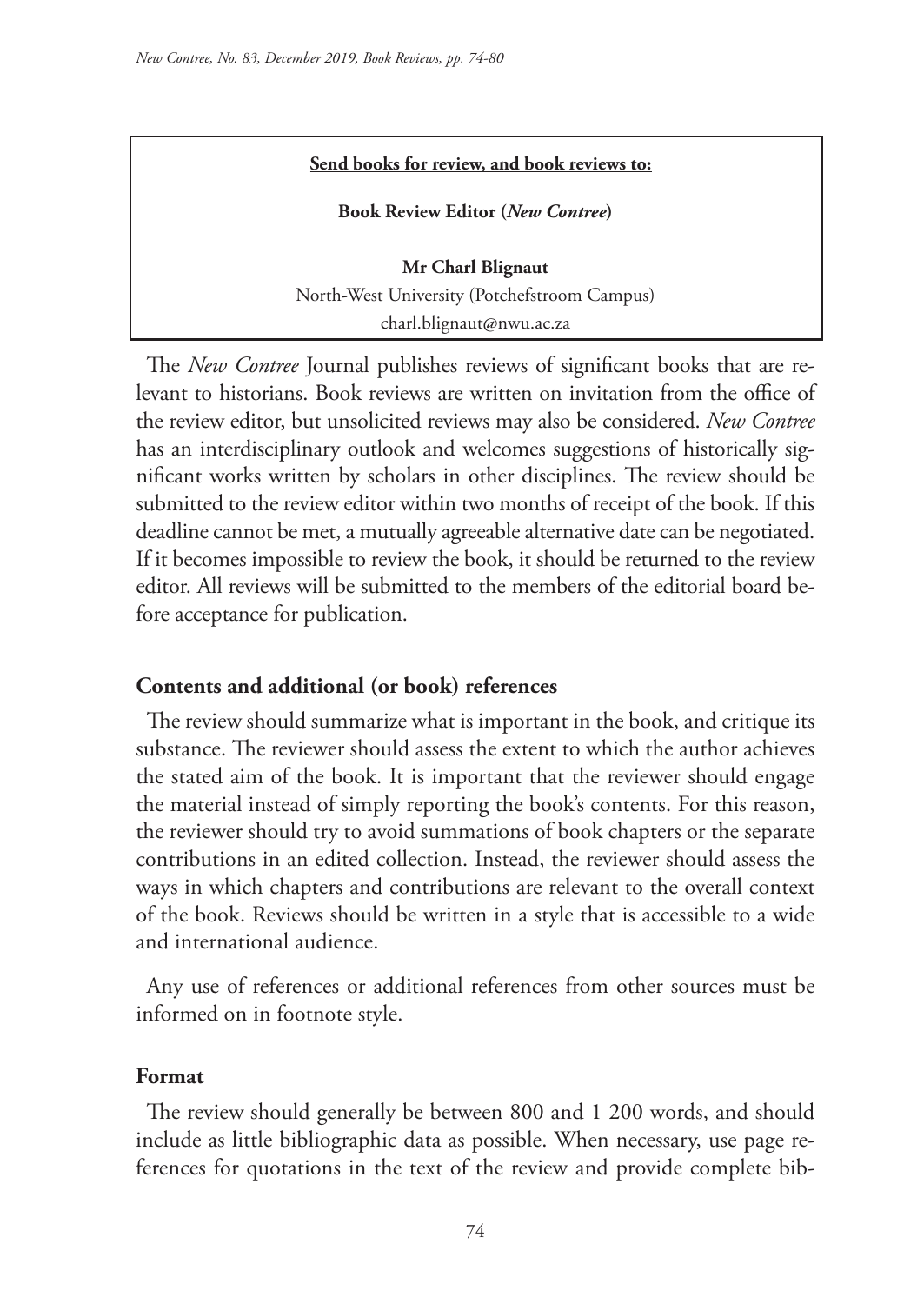#### **Send books for review, and book reviews to:**

**Book Review Editor (***New Contree***)** 

**Mr Charl Blignaut** North-West University (Potchefstroom Campus) charl.blignaut@nwu.ac.za

The *New Contree* Journal publishes reviews of significant books that are relevant to historians. Book reviews are written on invitation from the office of the review editor, but unsolicited reviews may also be considered. *New Contree*  has an interdisciplinary outlook and welcomes suggestions of historically significant works written by scholars in other disciplines. The review should be submitted to the review editor within two months of receipt of the book. If this deadline cannot be met, a mutually agreeable alternative date can be negotiated. If it becomes impossible to review the book, it should be returned to the review editor. All reviews will be submitted to the members of the editorial board before acceptance for publication.

### **Contents and additional (or book) references**

The review should summarize what is important in the book, and critique its substance. The reviewer should assess the extent to which the author achieves the stated aim of the book. It is important that the reviewer should engage the material instead of simply reporting the book's contents. For this reason, the reviewer should try to avoid summations of book chapters or the separate contributions in an edited collection. Instead, the reviewer should assess the ways in which chapters and contributions are relevant to the overall context of the book. Reviews should be written in a style that is accessible to a wide and international audience.

Any use of references or additional references from other sources must be informed on in footnote style.

### **Format**

The review should generally be between 800 and 1 200 words, and should include as little bibliographic data as possible. When necessary, use page references for quotations in the text of the review and provide complete bib-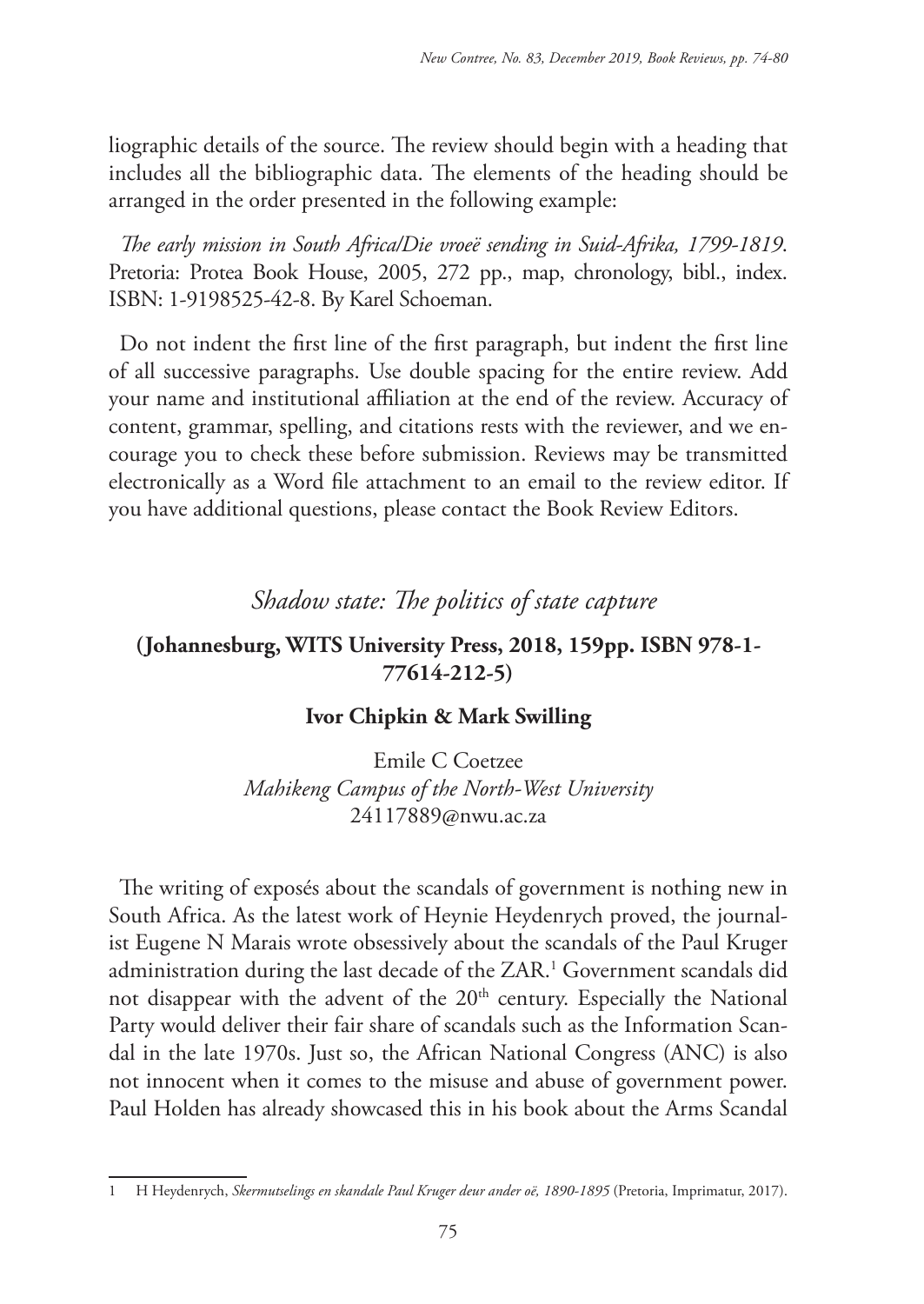liographic details of the source. The review should begin with a heading that includes all the bibliographic data. The elements of the heading should be arranged in the order presented in the following example:

*The early mission in South Africa/Die vroeë sending in Suid-Afrika, 1799-1819*. Pretoria: Protea Book House, 2005, 272 pp., map, chronology, bibl., index. ISBN: 1-9198525-42-8. By Karel Schoeman.

Do not indent the first line of the first paragraph, but indent the first line of all successive paragraphs. Use double spacing for the entire review. Add your name and institutional affiliation at the end of the review. Accuracy of content, grammar, spelling, and citations rests with the reviewer, and we encourage you to check these before submission. Reviews may be transmitted electronically as a Word file attachment to an email to the review editor. If you have additional questions, please contact the Book Review Editors.

# *Shadow state: The politics of state capture*

## **(Johannesburg, WITS University Press, 2018, 159pp. ISBN 978-1- 77614-212-5)**

### **Ivor Chipkin & Mark Swilling**

Emile C Coetzee *Mahikeng Campus of the North-West University* 24117889@nwu.ac.za

The writing of exposés about the scandals of government is nothing new in South Africa. As the latest work of Heynie Heydenrych proved, the journalist Eugene N Marais wrote obsessively about the scandals of the Paul Kruger administration during the last decade of the ZAR.<sup>1</sup> Government scandals did not disappear with the advent of the 20<sup>th</sup> century. Especially the National Party would deliver their fair share of scandals such as the Information Scandal in the late 1970s. Just so, the African National Congress (ANC) is also not innocent when it comes to the misuse and abuse of government power. Paul Holden has already showcased this in his book about the Arms Scandal

<sup>1</sup> H Heydenrych, *Skermutselings en skandale Paul Kruger deur ander oë, 1890-1895* (Pretoria, Imprimatur, 2017).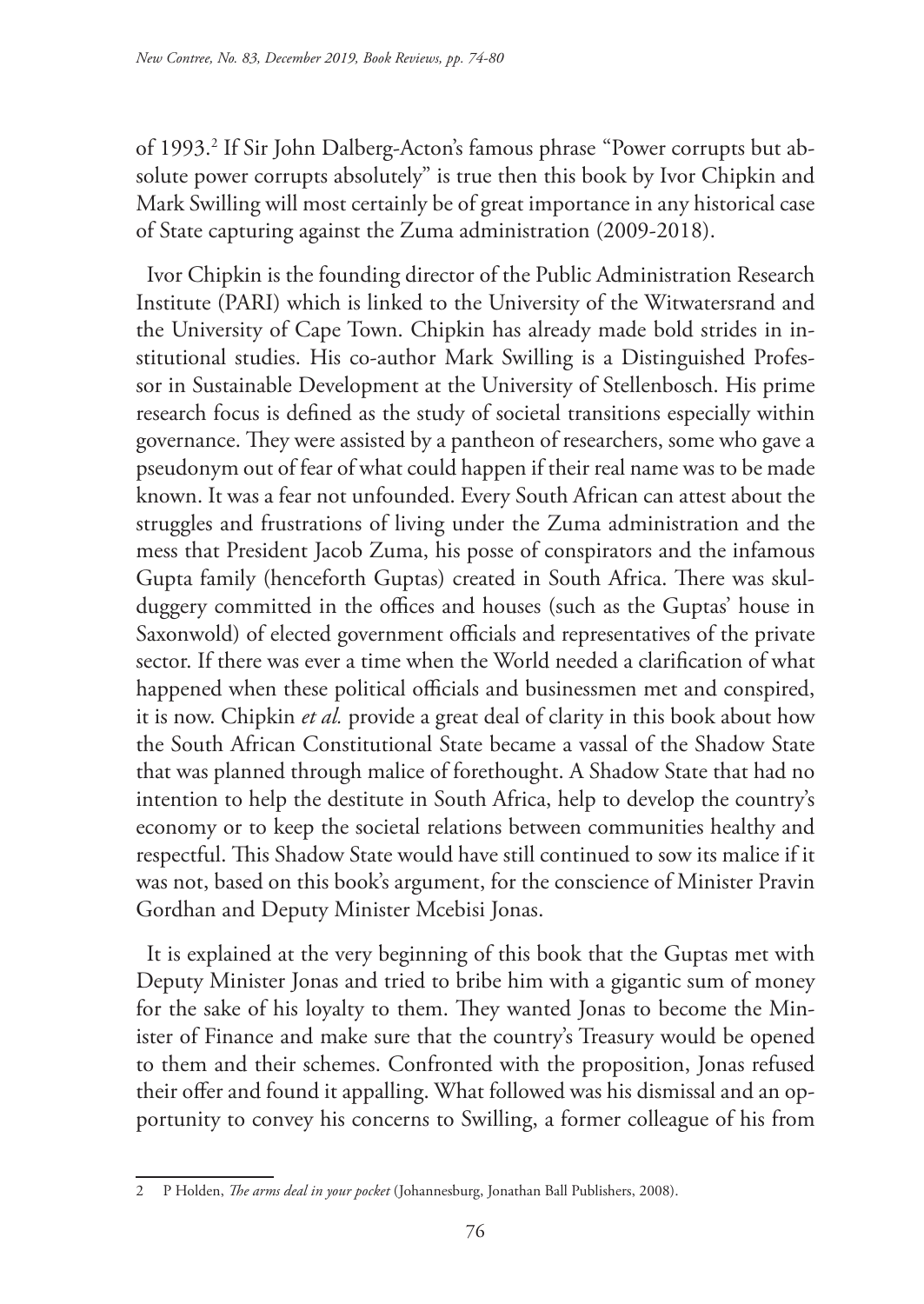of 1993.<sup>2</sup> If Sir John Dalberg-Acton's famous phrase "Power corrupts but absolute power corrupts absolutely" is true then this book by Ivor Chipkin and Mark Swilling will most certainly be of great importance in any historical case of State capturing against the Zuma administration (2009-2018).

Ivor Chipkin is the founding director of the Public Administration Research Institute (PARI) which is linked to the University of the Witwatersrand and the University of Cape Town. Chipkin has already made bold strides in institutional studies. His co-author Mark Swilling is a Distinguished Professor in Sustainable Development at the University of Stellenbosch. His prime research focus is defined as the study of societal transitions especially within governance. They were assisted by a pantheon of researchers, some who gave a pseudonym out of fear of what could happen if their real name was to be made known. It was a fear not unfounded. Every South African can attest about the struggles and frustrations of living under the Zuma administration and the mess that President Jacob Zuma, his posse of conspirators and the infamous Gupta family (henceforth Guptas) created in South Africa. There was skulduggery committed in the offices and houses (such as the Guptas' house in Saxonwold) of elected government officials and representatives of the private sector. If there was ever a time when the World needed a clarification of what happened when these political officials and businessmen met and conspired, it is now. Chipkin *et al.* provide a great deal of clarity in this book about how the South African Constitutional State became a vassal of the Shadow State that was planned through malice of forethought. A Shadow State that had no intention to help the destitute in South Africa, help to develop the country's economy or to keep the societal relations between communities healthy and respectful. This Shadow State would have still continued to sow its malice if it was not, based on this book's argument, for the conscience of Minister Pravin Gordhan and Deputy Minister Mcebisi Jonas.

It is explained at the very beginning of this book that the Guptas met with Deputy Minister Jonas and tried to bribe him with a gigantic sum of money for the sake of his loyalty to them. They wanted Jonas to become the Minister of Finance and make sure that the country's Treasury would be opened to them and their schemes. Confronted with the proposition, Jonas refused their offer and found it appalling. What followed was his dismissal and an opportunity to convey his concerns to Swilling, a former colleague of his from

<sup>2</sup> P Holden, *The arms deal in your pocket* (Johannesburg, Jonathan Ball Publishers, 2008).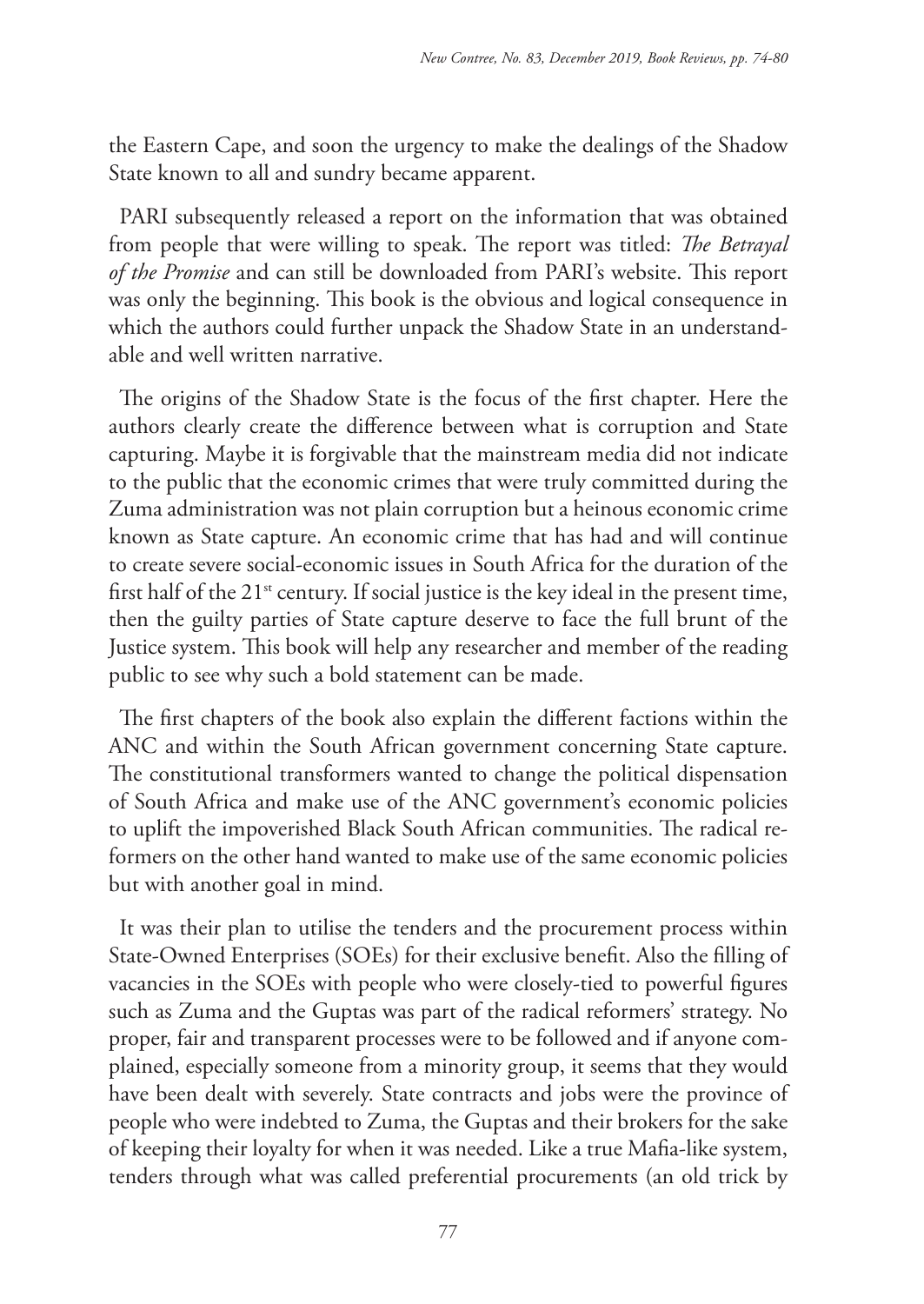the Eastern Cape, and soon the urgency to make the dealings of the Shadow State known to all and sundry became apparent.

PARI subsequently released a report on the information that was obtained from people that were willing to speak. The report was titled: *The Betrayal of the Promise* and can still be downloaded from PARI's website. This report was only the beginning. This book is the obvious and logical consequence in which the authors could further unpack the Shadow State in an understandable and well written narrative.

The origins of the Shadow State is the focus of the first chapter. Here the authors clearly create the difference between what is corruption and State capturing. Maybe it is forgivable that the mainstream media did not indicate to the public that the economic crimes that were truly committed during the Zuma administration was not plain corruption but a heinous economic crime known as State capture. An economic crime that has had and will continue to create severe social-economic issues in South Africa for the duration of the first half of the  $21^{st}$  century. If social justice is the key ideal in the present time, then the guilty parties of State capture deserve to face the full brunt of the Justice system. This book will help any researcher and member of the reading public to see why such a bold statement can be made.

The first chapters of the book also explain the different factions within the ANC and within the South African government concerning State capture. The constitutional transformers wanted to change the political dispensation of South Africa and make use of the ANC government's economic policies to uplift the impoverished Black South African communities. The radical reformers on the other hand wanted to make use of the same economic policies but with another goal in mind.

It was their plan to utilise the tenders and the procurement process within State-Owned Enterprises (SOEs) for their exclusive benefit. Also the filling of vacancies in the SOEs with people who were closely-tied to powerful figures such as Zuma and the Guptas was part of the radical reformers' strategy. No proper, fair and transparent processes were to be followed and if anyone complained, especially someone from a minority group, it seems that they would have been dealt with severely. State contracts and jobs were the province of people who were indebted to Zuma, the Guptas and their brokers for the sake of keeping their loyalty for when it was needed. Like a true Mafia-like system, tenders through what was called preferential procurements (an old trick by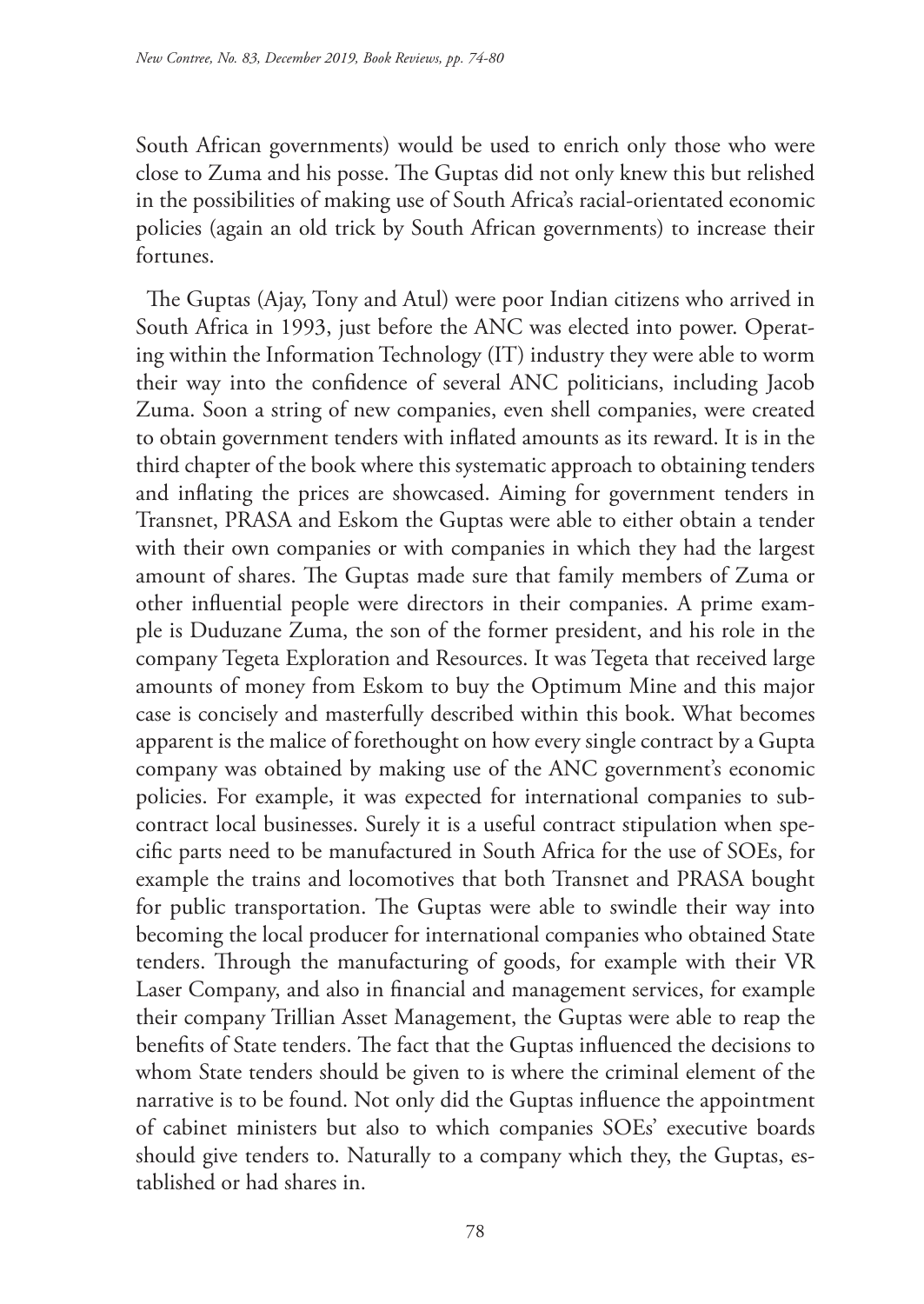South African governments) would be used to enrich only those who were close to Zuma and his posse. The Guptas did not only knew this but relished in the possibilities of making use of South Africa's racial-orientated economic policies (again an old trick by South African governments) to increase their fortunes.

The Guptas (Ajay, Tony and Atul) were poor Indian citizens who arrived in South Africa in 1993, just before the ANC was elected into power. Operating within the Information Technology (IT) industry they were able to worm their way into the confidence of several ANC politicians, including Jacob Zuma. Soon a string of new companies, even shell companies, were created to obtain government tenders with inflated amounts as its reward. It is in the third chapter of the book where this systematic approach to obtaining tenders and inflating the prices are showcased. Aiming for government tenders in Transnet, PRASA and Eskom the Guptas were able to either obtain a tender with their own companies or with companies in which they had the largest amount of shares. The Guptas made sure that family members of Zuma or other influential people were directors in their companies. A prime example is Duduzane Zuma, the son of the former president, and his role in the company Tegeta Exploration and Resources. It was Tegeta that received large amounts of money from Eskom to buy the Optimum Mine and this major case is concisely and masterfully described within this book. What becomes apparent is the malice of forethought on how every single contract by a Gupta company was obtained by making use of the ANC government's economic policies. For example, it was expected for international companies to subcontract local businesses. Surely it is a useful contract stipulation when specific parts need to be manufactured in South Africa for the use of SOEs, for example the trains and locomotives that both Transnet and PRASA bought for public transportation. The Guptas were able to swindle their way into becoming the local producer for international companies who obtained State tenders. Through the manufacturing of goods, for example with their VR Laser Company, and also in financial and management services, for example their company Trillian Asset Management, the Guptas were able to reap the benefits of State tenders. The fact that the Guptas influenced the decisions to whom State tenders should be given to is where the criminal element of the narrative is to be found. Not only did the Guptas influence the appointment of cabinet ministers but also to which companies SOEs' executive boards should give tenders to. Naturally to a company which they, the Guptas, established or had shares in.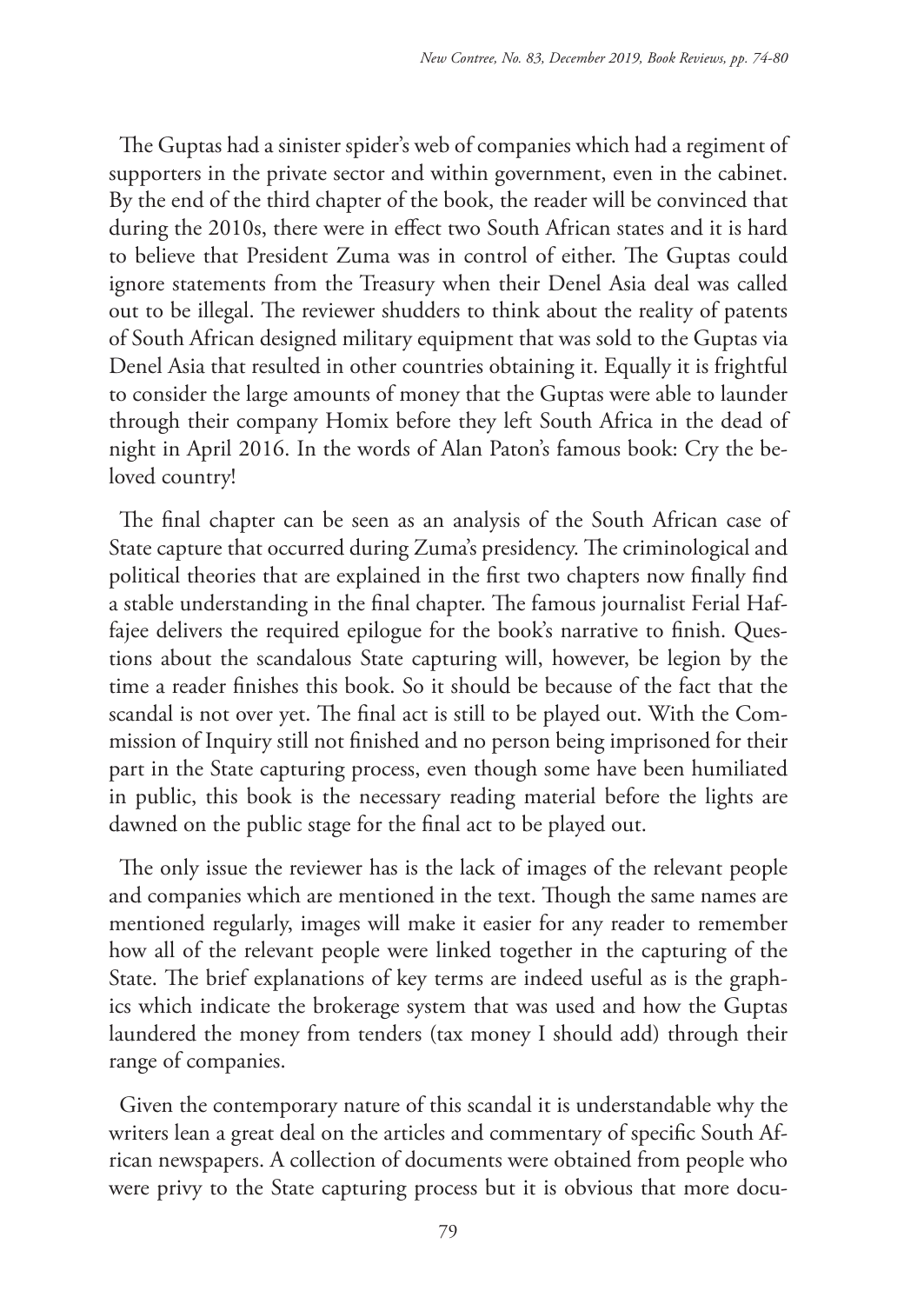The Guptas had a sinister spider's web of companies which had a regiment of supporters in the private sector and within government, even in the cabinet. By the end of the third chapter of the book, the reader will be convinced that during the 2010s, there were in effect two South African states and it is hard to believe that President Zuma was in control of either. The Guptas could ignore statements from the Treasury when their Denel Asia deal was called out to be illegal. The reviewer shudders to think about the reality of patents of South African designed military equipment that was sold to the Guptas via Denel Asia that resulted in other countries obtaining it. Equally it is frightful to consider the large amounts of money that the Guptas were able to launder through their company Homix before they left South Africa in the dead of night in April 2016. In the words of Alan Paton's famous book: Cry the beloved country!

The final chapter can be seen as an analysis of the South African case of State capture that occurred during Zuma's presidency. The criminological and political theories that are explained in the first two chapters now finally find a stable understanding in the final chapter. The famous journalist Ferial Haffajee delivers the required epilogue for the book's narrative to finish. Questions about the scandalous State capturing will, however, be legion by the time a reader finishes this book. So it should be because of the fact that the scandal is not over yet. The final act is still to be played out. With the Commission of Inquiry still not finished and no person being imprisoned for their part in the State capturing process, even though some have been humiliated in public, this book is the necessary reading material before the lights are dawned on the public stage for the final act to be played out.

The only issue the reviewer has is the lack of images of the relevant people and companies which are mentioned in the text. Though the same names are mentioned regularly, images will make it easier for any reader to remember how all of the relevant people were linked together in the capturing of the State. The brief explanations of key terms are indeed useful as is the graphics which indicate the brokerage system that was used and how the Guptas laundered the money from tenders (tax money I should add) through their range of companies.

Given the contemporary nature of this scandal it is understandable why the writers lean a great deal on the articles and commentary of specific South African newspapers. A collection of documents were obtained from people who were privy to the State capturing process but it is obvious that more docu